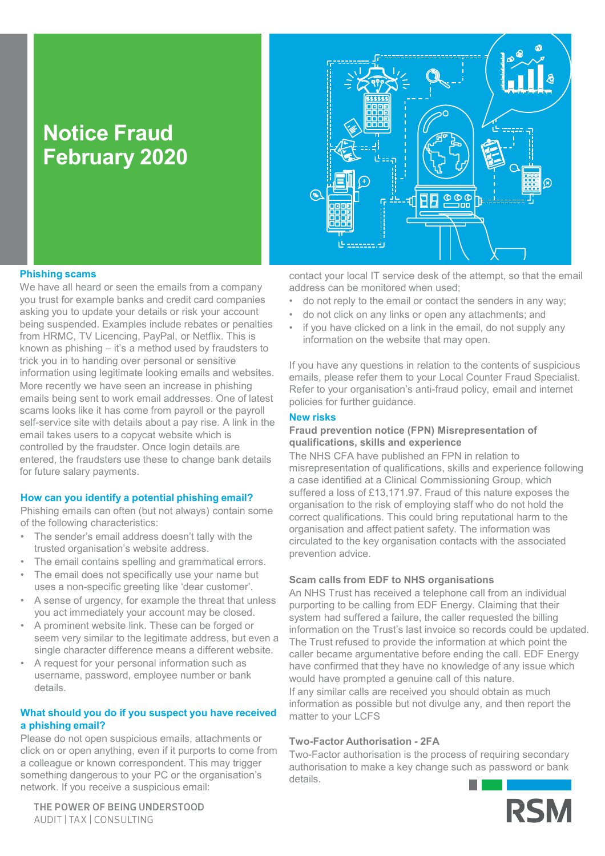# **Notice Fraud February 2020**



## **Phishing scams**

We have all heard or seen the emails from a company you trust for example banks and credit card companies asking you to update your details or risk your account being suspended. Examples include rebates or penalties from HRMC, TV Licencing, PayPal, or Netflix. This is known as phishing – it's a method used by fraudsters to trick you in to handing over personal or sensitive information using legitimate looking emails and websites. More recently we have seen an increase in phishing emails being sent to work email addresses. One of latest scams looks like it has come from payroll or the payroll self-service site with details about a pay rise. A link in the email takes users to a copycat website which is controlled by the fraudster. Once login details are entered, the fraudsters use these to change bank details for future salary payments.

#### **How can you identify a potential phishing email?**

Phishing emails can often (but not always) contain some of the following characteristics:

- The sender's email address doesn't tally with the trusted organisation's website address.
- The email contains spelling and grammatical errors.
- The email does not specifically use your name but uses a non-specific greeting like 'dear customer'.
- A sense of urgency, for example the threat that unless you act immediately your account may be closed.
- A prominent website link. These can be forged or seem very similar to the legitimate address, but even a single character difference means a different website.
- A request for your personal information such as username, password, employee number or bank details.

### **What should you do if you suspect you have received a phishing email?**

Please do not open suspicious emails, attachments or click on or open anything, even if it purports to come from a colleague or known correspondent. This may trigger something dangerous to your PC or the organisation's network. If you receive a suspicious email:

THE POWER OF BEING UNDERSTOOD AUDIT | TAX | CONSULTING

contact your local IT service desk of the attempt, so that the email address can be monitored when used;

- do not reply to the email or contact the senders in any way;
- do not click on any links or open any attachments; and
- if you have clicked on a link in the email, do not supply any information on the website that may open.

If you have any questions in relation to the contents of suspicious emails, please refer them to your Local Counter Fraud Specialist. Refer to your organisation's anti-fraud policy, email and internet policies for further guidance.

#### **New risks**

#### **Fraud prevention notice (FPN) Misrepresentation of qualifications, skills and experience**

The NHS CFA have published an FPN in relation to misrepresentation of qualifications, skills and experience following a case identified at a Clinical Commissioning Group, which suffered a loss of £13,171.97. Fraud of this nature exposes the organisation to the risk of employing staff who do not hold the correct qualifications. This could bring reputational harm to the organisation and affect patient safety. The information was circulated to the key organisation contacts with the associated prevention advice.

#### **Scam calls from EDF to NHS organisations**

An NHS Trust has received a telephone call from an individual purporting to be calling from EDF Energy. Claiming that their system had suffered a failure, the caller requested the billing information on the Trust's last invoice so records could be updated. The Trust refused to provide the information at which point the caller became argumentative before ending the call. EDF Energy have confirmed that they have no knowledge of any issue which would have prompted a genuine call of this nature. If any similar calls are received you should obtain as much information as possible but not divulge any, and then report the matter to your LCFS

### **Two-Factor Authorisation - 2FA**

Two-Factor authorisation is the process of requiring secondary authorisation to make a key change such as password or bank details.